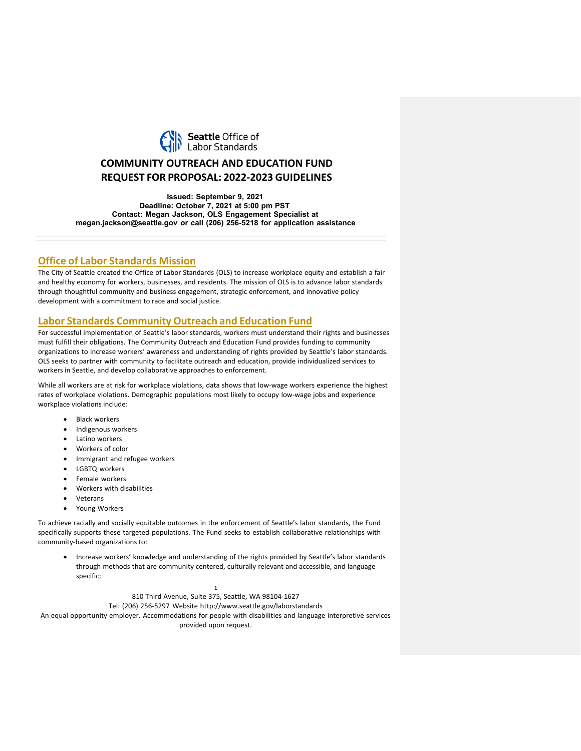

# **COMMUNITY OUTREACH AND EDUCATION FUND REQUEST FOR PROPOSAL: 2022-2023 GUIDELINES**

**Issued: September 9, 2021 Deadline: October 7, 2021 at 5:00 pm PST Contact: Megan Jackson, OLS Engagement Specialist at [megan.jackson@seattle.gov](mailto:megan.jackson@seattle.gov) or call (206) 256-5218 for application assistance**

## **Office of Labor Standards Mission**

The City of Seattle created the Office of Labor Standards (OLS) to increase workplace equity and establish a fair and healthy economy for workers, businesses, and residents. The mission of OLS is to advance labor standards through thoughtful community and business engagement, strategic enforcement, and innovative policy development with a commitment to race and social justice.

## **Labor Standards Community Outreach and Education Fund**

For successful implementation of Seattle's labor standards, workers must understand their rights and businesses must fulfill their obligations. The Community Outreach and Education Fund provides funding to community organizations to increase workers' awareness and understanding of rights provided by Seattle's labor standards. OLS seeks to partner with community to facilitate outreach and education, provide individualized services to workers in Seattle, and develop collaborative approaches to enforcement.

While all workers are at risk for workplace violations, data shows that low-wage workers experience the highest rates of workplace violations. Demographic populations most likely to occupy low-wage jobs and experience workplace violations include:

- **Black workers**
- Indigenous workers
- Latino workers
- Workers of color
- Immigrant and refugee workers
- LGBTQ workers
- Female workers
- Workers with disabilities
- **Veterans**
- Young Workers

To achieve racially and socially equitable outcomes in the enforcement of Seattle's labor standards, the Fund specifically supports these targeted populations. The Fund seeks to establish collaborative relationships with community-based organizations to:

• Increase workers' knowledge and understanding of the rights provided by Seattle's labor standards through methods that are community centered, culturally relevant and accessible, and language specific;

> 1 810 Third Avenue, Suite 375, Seattle, WA 98104-1627 Tel: (206) 256-5297 Website <http://www.seattle.gov/laborstandards>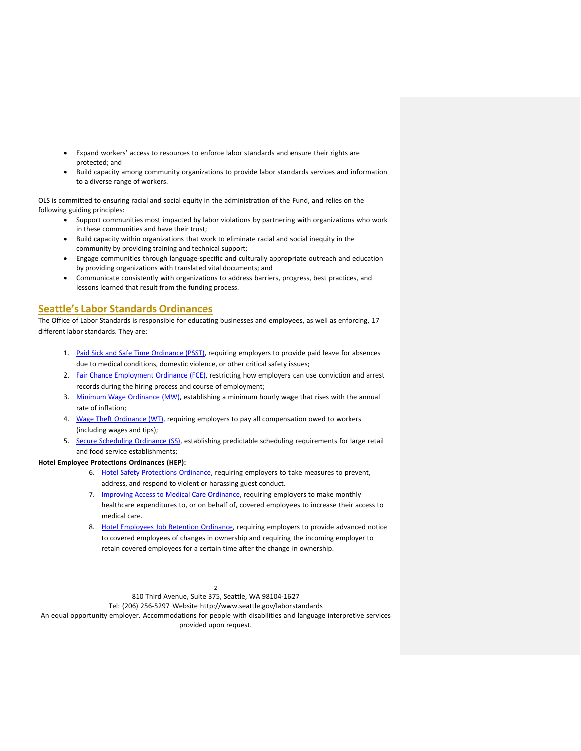- Expand workers' access to resources to enforce labor standards and ensure their rights are protected; and
- Build capacity among community organizations to provide labor standards services and information to a diverse range of workers.

OLS is committed to ensuring racial and social equity in the administration of the Fund, and relies on the following guiding principles:

- Support communities most impacted by labor violations by partnering with organizations who work in these communities and have their trust;
- Build capacity within organizations that work to eliminate racial and social inequity in the community by providing training and technical support;
- Engage communities through language-specific and culturally appropriate outreach and education by providing organizations with translated vital documents; and
- Communicate consistently with organizations to address barriers, progress, best practices, and lessons learned that result from the funding process.

## **Seattle's Labor Standards Ordinances**

The Office of Labor Standards is responsible for educating businesses and employees, as well as enforcing, 17 different labor standards. They are:

- 1. Paid Sick and Safe Time [Ordinance](https://www.seattle.gov/laborstandards/ordinances/paid-sick-and-safe-time) (PSST), requiring employers to provide paid leave for absences due to medical conditions, domestic violence, or other critical safety issues;
- 2. Fair Chance [Employment](https://www.seattle.gov/laborstandards/ordinances/fair-chance-employment) Ordinance (FCE), restricting how employers can use conviction and arrest records during the hiring process and course of employment;
- 3. Minimum Wage [Ordinance](https://www.seattle.gov/laborstandards/ordinances/minimum-wage) (MW), establishing a minimum hourly wage that rises with the annual rate of inflation;
- 4. Wage Theft [Ordinance](https://www.seattle.gov/laborstandards/ordinances/wage-theft) (WT), requiring employers to pay all compensation owed to workers (including wages and tips);
- 5. Secure [Scheduling](https://www.seattle.gov/laborstandards/ordinances/secure-scheduling) Ordinance (SS), establishing predictable scheduling requirements for large retail and food service establishments;

#### **Hotel Employee Protections Ordinances (HEP):**

- 6. Hotel Safety [Protections](https://www.seattle.gov/laborstandards/ordinances/hotel-employee-protections/hotel-employees-safety-protections-ordinance) Ordinance, requiring employers to take measures to prevent, address, and respond to violent or harassing guest conduct.
- 7. Improving Access to Medical Care [Ordinance,](https://www.seattle.gov/laborstandards/ordinances/hotel-employee-protections/improving-access-to-medical-care-for-hotel-employees-ordinance) requiring employers to make monthly healthcare expenditures to, or on behalf of, covered employees to increase their access to medical care.
- 8. Hotel Employees Job Retention [Ordinance,](https://www.seattle.gov/laborstandards/ordinances/hotel-employee-protections/hotel-employees-job-retention-ordinance) requiring employers to provide advanced notice to covered employees of changes in ownership and requiring the incoming employer to retain covered employees for a certain time after the change in ownership.

2 810 Third Avenue, Suite 375, Seattle, WA 98104-1627

Tel: (206) 256-5297 Website <http://www.seattle.gov/laborstandards>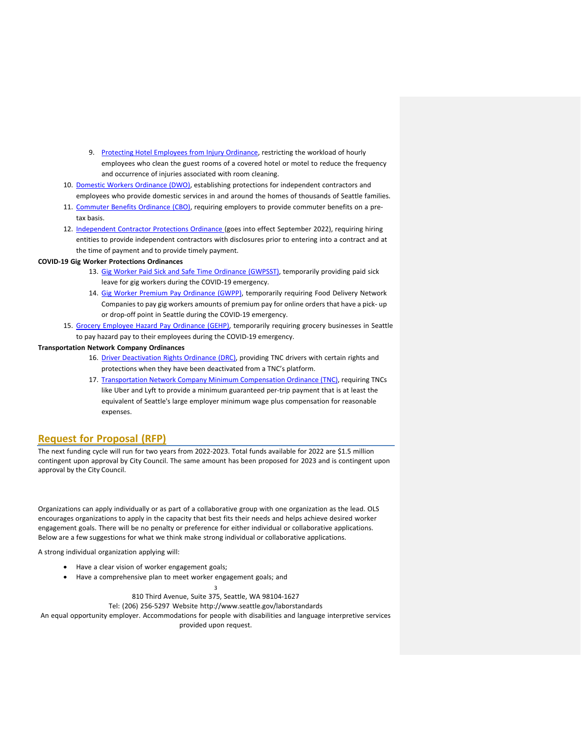- 9. Protecting Hotel Employees from Injury [Ordinance,](https://www.seattle.gov/laborstandards/ordinances/hotel-employee-protections/protecting-hotel-employees-from-injury-ordinance) restricting the workload of hourly employees who clean the guest rooms of a covered hotel or motel to reduce the frequency and occurrence of injuries associated with room cleaning.
- 10. Domestic Workers [Ordinance](https://www.seattle.gov/laborstandards/ordinances/domestic-workers) (DWO), establishing protections for independent contractors and employees who provide domestic services in and around the homes of thousands of Seattle families.
- 11. [Commuter](https://www.seattle.gov/laborstandards/ordinances/commuter-benefits) Benefits Ordinance (CBO), requiring employers to provide commuter benefits on a pretax basis.
- 12. [Independent](https://www.seattle.gov/laborstandards/ordinances/independent-contractor-protections-) Contractor Protections Ordinance (goes into effect September 2022), requiring hiring entities to provide independent contractors with disclosures prior to entering into a contract and at the time of payment and to provide timely payment.

#### **COVID-19 Gig Worker Protections Ordinances**

- 13. Gig Worker Paid Sick and Safe Time Ordinance [\(GWPSST\),](https://www.seattle.gov/laborstandards/ordinances/covid-19-gig-worker-protections-/gig-worker-paid-sick-and-safe-time-ordinance) temporarily providing paid sick leave for gig workers during the COVID-19 emergency.
- 14. [Gig Worker Premium Pay Ordinance \(GWPP\),](https://www.seattle.gov/laborstandards/ordinances/covid-19-gig-worker-protections-/gig-worker-premium-pay-ordinance) temporarily requiring Food Delivery Network Companies to pay gig workers amounts of premium pay for online orders that have a pick- up or drop-off point in Seattle during the COVID-19 emergency.
- 15. Grocery Employee Hazard Pay [Ordinance](https://www.seattle.gov/laborstandards/ordinances/grocery-employee-hazard-pay) (GEHP), temporarily requiring grocery businesses in Seattle to pay hazard pay to their employees during the COVID-19 emergency.

#### **Transportation Network Company Ordinances**

- 16. Driver [Deactivation](https://www.seattle.gov/laborstandards/ordinances/tnc-legislation/driver-deactivation-rights-ordinance) Rights Ordinance (DRC), providing TNC drivers with certain rights and protections when they have been deactivated from a TNC's platform.
- 17. [Transportation Network Company Minimum Compensation Ordinance](https://www.seattle.gov/laborstandards/ordinances/tnc-legislation/minimum-compensation-ordinance) (TNC), requiring TNCs like Uber and Lyft to provide a minimum guaranteed per-trip payment that is at least the equivalent of Seattle's large employer minimum wage plus compensation for reasonable expenses.

### **Request for Proposal (RFP)**

The next funding cycle will run for two years from 2022-2023. Total funds available for 2022 are \$1.5 million contingent upon approval by City Council. The same amount has been proposed for 2023 and is contingent upon approval by the City Council.

Organizations can apply individually or as part of a collaborative group with one organization as the lead. OLS encourages organizations to apply in the capacity that best fits their needs and helps achieve desired worker engagement goals. There will be no penalty or preference for either individual or collaborative applications. Below are a few suggestions for what we think make strong individual or collaborative applications.

A strong individual organization applying will:

- Have a clear vision of worker engagement goals;
- Have a comprehensive plan to meet worker engagement goals; and

3 810 Third Avenue, Suite 375, Seattle, WA 98104-1627

Tel: (206) 256-5297 Website <http://www.seattle.gov/laborstandards>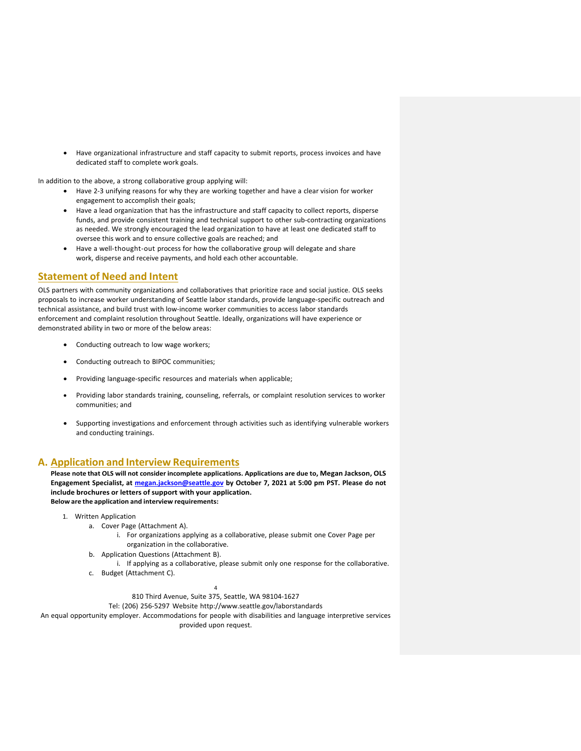• Have organizational infrastructure and staff capacity to submit reports, process invoices and have dedicated staff to complete work goals.

In addition to the above, a strong collaborative group applying will:

- Have 2-3 unifying reasons for why they are working together and have a clear vision for worker engagement to accomplish their goals;
- Have a lead organization that has the infrastructure and staff capacity to collect reports, disperse funds, and provide consistent training and technical support to other sub-contracting organizations as needed. We strongly encouraged the lead organization to have at least one dedicated staff to oversee this work and to ensure collective goals are reached; and
- Have a well-thought-out process for how the collaborative group will delegate and share work, disperse and receive payments, and hold each other accountable.

### **Statement of Need and Intent**

OLS partners with community organizations and collaboratives that prioritize race and social justice. OLS seeks proposals to increase worker understanding of Seattle labor standards, provide language-specific outreach and technical assistance, and build trust with low-income worker communities to access labor standards enforcement and complaint resolution throughout Seattle. Ideally, organizations will have experience or demonstrated ability in two or more of the below areas:

- Conducting outreach to low wage workers;
- Conducting outreach to BIPOC communities;
- Providing language-specific resources and materials when applicable;
- Providing labor standards training, counseling, referrals, or complaint resolution services to worker communities; and
- Supporting investigations and enforcement through activities such as identifying vulnerable workers and conducting trainings.

### **A. Application and Interview Requirements**

**Please note that OLS will not consider incomplete applications. Applications are due to, Megan Jackson, OLS Engagement Specialist, at [megan.jackson@seattle.gov](mailto:megan.jackson@seattle.gov) by October 7, 2021 at 5:00 pm PST. Please do not include brochures or letters of support with your application. Below are the application and interview requirements:**

- 1. Written Application
	- a. Cover Page (Attachment A).
		- i. For organizations applying as a collaborative, please submit one Cover Page per organization in the collaborative.
	- b. Application Questions (Attachment B).
	- i. If applying as a collaborative, please submit only one response for the collaborative.
	- c. Budget (Attachment C).

#### 4 810 Third Avenue, Suite 375, Seattle, WA 98104-1627

Tel: (206) 256-5297 Website <http://www.seattle.gov/laborstandards>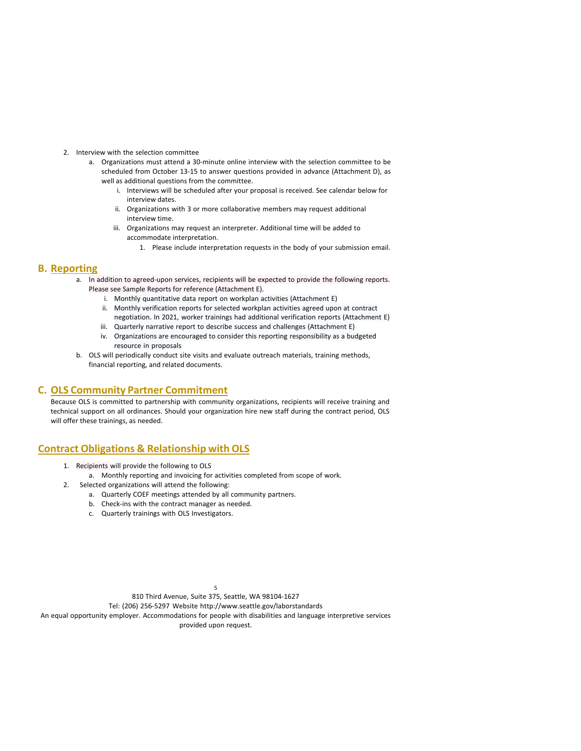- 2. Interview with the selection committee
	- a. Organizations must attend a 30-minute online interview with the selection committee to be scheduled from October 13-15 to answer questions provided in advance (Attachment D), as well as additional questions from the committee.
		- i. Interviews will be scheduled after your proposal is received. See calendar below for interview dates.
		- ii. Organizations with 3 or more collaborative members may request additional interview time.
		- iii. Organizations may request an interpreter. Additional time will be added to accommodate interpretation.
			- 1. Please include interpretation requests in the body of your submission email.

### **B. Reporting**

- a. In addition to agreed-upon services, recipients will be expected to provide the following reports. Please see Sample Reports for reference (Attachment E).
	- i. Monthly quantitative data report on workplan activities (Attachment E)
	- ii. Monthly verification reports for selected workplan activities agreed upon at contract negotiation. In 2021, worker trainings had additional verification reports (Attachment E)
	- iii. Quarterly narrative report to describe success and challenges (Attachment E)
	- iv. Organizations are encouraged to consider this reporting responsibility as a budgeted resource in proposals
- b. OLS will periodically conduct site visits and evaluate outreach materials, training methods, financial reporting, and related documents.

### **C. OLS Community Partner Commitment**

Because OLS is committed to partnership with community organizations, recipients will receive training and technical support on all ordinances. Should your organization hire new staff during the contract period, OLS will offer these trainings, as needed.

## **Contract Obligations & Relationship with OLS**

- 1. Recipients will provide the following to OLS
- a. Monthly reporting and invoicing for activities completed from scope of work. 2. Selected organizations will attend the following:
	- a. Quarterly COEF meetings attended by all community partners.
		- b. Check-ins with the contract manager as needed.
		- c. Quarterly trainings with OLS Investigators.

5 810 Third Avenue, Suite 375, Seattle, WA 98104-1627

Tel: (206) 256-5297 Website <http://www.seattle.gov/laborstandards>

An equal opportunity employer. Accommodations for people with disabilities and language interpretive services

provided upon request.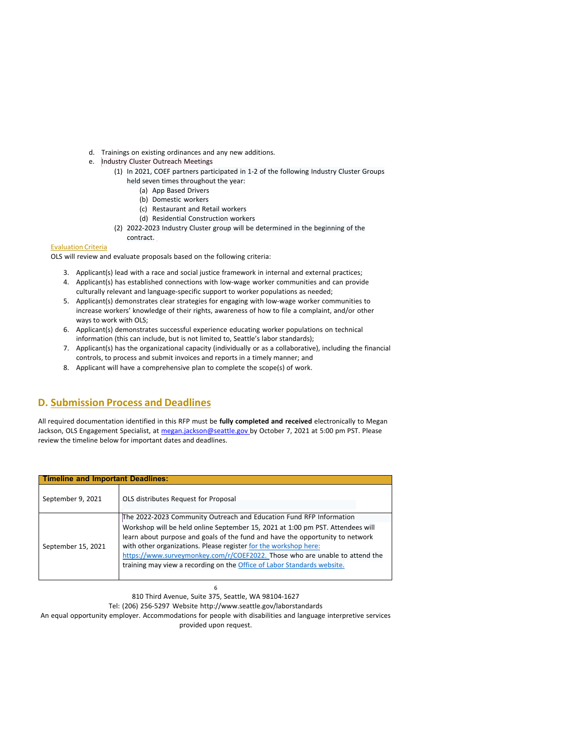- d. Trainings on existing ordinances and any new additions.
- e. Industry Cluster Outreach Meetings
	- (1) In 2021, COEF partners participated in 1-2 of the following Industry Cluster Groups held seven times throughout the year:
		- (a) App Based Drivers
		- (b) Domestic workers
		- (c) Restaurant and Retail workers
		- (d) Residential Construction workers
	- (2) 2022-2023 Industry Cluster group will be determined in the beginning of the contract.

#### Evaluation Criteria

OLS will review and evaluate proposals based on the following criteria:

- 3. Applicant(s) lead with a race and social justice framework in internal and external practices;
- 4. Applicant(s) has established connections with low-wage worker communities and can provide culturally relevant and language-specific support to worker populations as needed;
- 5. Applicant(s) demonstrates clear strategies for engaging with low-wage worker communities to increase workers' knowledge of their rights, awareness of how to file a complaint, and/or other ways to work with OLS;
- 6. Applicant(s) demonstrates successful experience educating worker populations on technical information (this can include, but is not limited to, Seattle's labor standards);
- 7. Applicant(s) has the organizational capacity (individually or as a collaborative), including the financial controls, to process and submit invoices and reports in a timely manner; and
- 8. Applicant will have a comprehensive plan to complete the scope(s) of work.

## **D. Submission Process and Deadlines**

All required documentation identified in this RFP must be **fully completed and received** electronically to Megan Jackson, OLS Engagement Specialist, at [megan.jackson@seattle.gov](mailto:megan.jackson@seattle.gov) by October 7, 2021 at 5:00 pm PST. Please review the timeline below for important dates and deadlines.

| Timeline and Important Deadlines: |                                                                                |  |
|-----------------------------------|--------------------------------------------------------------------------------|--|
| September 9, 2021                 | OLS distributes Request for Proposal                                           |  |
| September 15, 2021                | The 2022-2023 Community Outreach and Education Fund RFP Information            |  |
|                                   | Workshop will be held online September 15, 2021 at 1:00 pm PST. Attendees will |  |
|                                   | learn about purpose and goals of the fund and have the opportunity to network  |  |
|                                   | with other organizations. Please register for the workshop here:               |  |
|                                   | https://www.surveymonkey.com/r/COEF2022. Those who are unable to attend the    |  |
|                                   | training may view a recording on the Office of Labor Standards website.        |  |
|                                   |                                                                                |  |

6 810 Third Avenue, Suite 375, Seattle, WA 98104-1627

Tel: (206) 256-5297 Website <http://www.seattle.gov/laborstandards>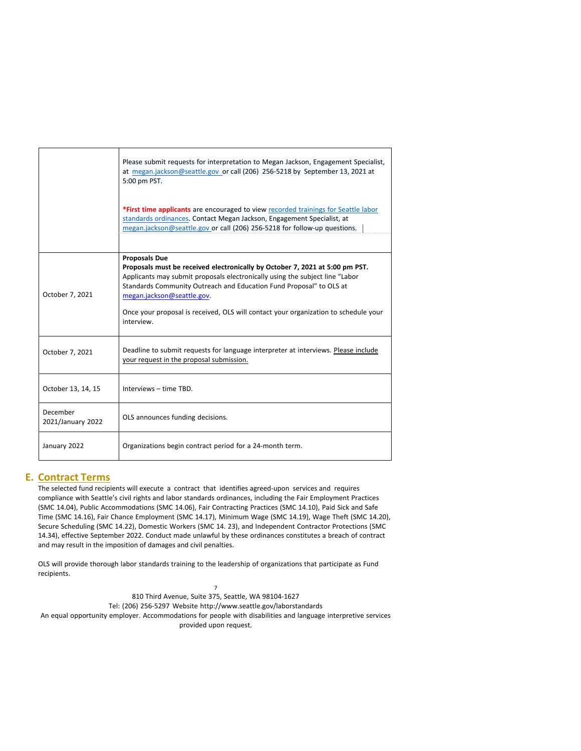|                               | Please submit requests for interpretation to Megan Jackson, Engagement Specialist,<br>at megan.jackson@seattle.gov or call (206) 256-5218 by September 13, 2021 at<br>5:00 pm PST.                                                                                                                                                                                                             |
|-------------------------------|------------------------------------------------------------------------------------------------------------------------------------------------------------------------------------------------------------------------------------------------------------------------------------------------------------------------------------------------------------------------------------------------|
|                               | *First time applicants are encouraged to view recorded trainings for Seattle labor<br>standards ordinances. Contact Megan Jackson, Engagement Specialist, at<br>megan.jackson@seattle.gov or call (206) 256-5218 for follow-up questions.                                                                                                                                                      |
|                               |                                                                                                                                                                                                                                                                                                                                                                                                |
| October 7, 2021               | <b>Proposals Due</b><br>Proposals must be received electronically by October 7, 2021 at 5:00 pm PST.<br>Applicants may submit proposals electronically using the subject line "Labor<br>Standards Community Outreach and Education Fund Proposal" to OLS at<br>megan.jackson@seattle.gov.<br>Once your proposal is received, OLS will contact your organization to schedule your<br>interview. |
| October 7, 2021               | Deadline to submit requests for language interpreter at interviews. Please include<br>your request in the proposal submission.                                                                                                                                                                                                                                                                 |
| October 13, 14, 15            | Interviews - time TBD.                                                                                                                                                                                                                                                                                                                                                                         |
| December<br>2021/January 2022 | OLS announces funding decisions.                                                                                                                                                                                                                                                                                                                                                               |
| January 2022                  | Organizations begin contract period for a 24-month term.                                                                                                                                                                                                                                                                                                                                       |

## **E. Contract Terms**

The selected fund recipients will execute a contract that identifies agreed-upon services and requires compliance with Seattle's civil rights and labor standards ordinances, including the Fair Employment Practices (SMC 14.04), Public Accommodations (SMC 14.06), Fair Contracting Practices (SMC 14.10), Paid Sick and Safe Time (SMC 14.16), Fair Chance Employment (SMC 14.17), Minimum Wage (SMC 14.19), Wage Theft (SMC 14.20), Secure Scheduling (SMC 14.22), Domestic Workers (SMC 14. 23), and Independent Contractor Protections (SMC 14.34), effective September 2022. Conduct made unlawful by these ordinances constitutes a breach of contract and may result in the imposition of damages and civil penalties.

OLS will provide thorough labor standards training to the leadership of organizations that participate as Fund recipients.

7 810 Third Avenue, Suite 375, Seattle, WA 98104-1627 Tel: (206) 256-5297 Website <http://www.seattle.gov/laborstandards> An equal opportunity employer. Accommodations for people with disabilities and language interpretive services provided upon request.